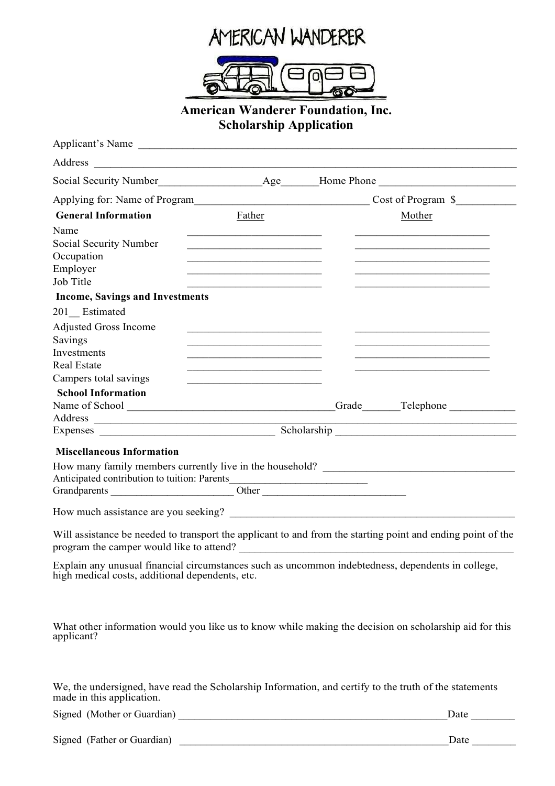



## **American Wanderer Foundation, Inc. Scholarship Application**

| Applicant's Name                                                                                                                                                                                                                                                                                                                                                                                                     |                                                                                                                       |                                                                                                             |
|----------------------------------------------------------------------------------------------------------------------------------------------------------------------------------------------------------------------------------------------------------------------------------------------------------------------------------------------------------------------------------------------------------------------|-----------------------------------------------------------------------------------------------------------------------|-------------------------------------------------------------------------------------------------------------|
|                                                                                                                                                                                                                                                                                                                                                                                                                      |                                                                                                                       |                                                                                                             |
|                                                                                                                                                                                                                                                                                                                                                                                                                      |                                                                                                                       | Social Security Number<br><u>Age</u> Home Phone<br><u>Age</u> Home Phone                                    |
|                                                                                                                                                                                                                                                                                                                                                                                                                      |                                                                                                                       | Cost of Program \$                                                                                          |
| <b>General Information</b>                                                                                                                                                                                                                                                                                                                                                                                           | Father                                                                                                                | Mother                                                                                                      |
| Name                                                                                                                                                                                                                                                                                                                                                                                                                 |                                                                                                                       |                                                                                                             |
| Social Security Number                                                                                                                                                                                                                                                                                                                                                                                               | <u> 1989 - Johann Barbara, martin amerikan basar dan berasal dalam basar dalam basar dalam basar dalam basar dala</u> |                                                                                                             |
| Occupation                                                                                                                                                                                                                                                                                                                                                                                                           |                                                                                                                       |                                                                                                             |
| Employer                                                                                                                                                                                                                                                                                                                                                                                                             | the control of the control of the control of the control of the control of the control of                             |                                                                                                             |
| Job Title                                                                                                                                                                                                                                                                                                                                                                                                            |                                                                                                                       |                                                                                                             |
| <b>Income, Savings and Investments</b>                                                                                                                                                                                                                                                                                                                                                                               |                                                                                                                       |                                                                                                             |
| 201 Estimated                                                                                                                                                                                                                                                                                                                                                                                                        |                                                                                                                       |                                                                                                             |
| <b>Adjusted Gross Income</b>                                                                                                                                                                                                                                                                                                                                                                                         |                                                                                                                       |                                                                                                             |
| Savings                                                                                                                                                                                                                                                                                                                                                                                                              |                                                                                                                       |                                                                                                             |
| Investments<br><b>Real Estate</b>                                                                                                                                                                                                                                                                                                                                                                                    | <u> 1989 - Johann Stoff, Amerikaansk politiker (* 1908)</u>                                                           |                                                                                                             |
| Campers total savings                                                                                                                                                                                                                                                                                                                                                                                                |                                                                                                                       |                                                                                                             |
| <b>School Information</b>                                                                                                                                                                                                                                                                                                                                                                                            |                                                                                                                       |                                                                                                             |
|                                                                                                                                                                                                                                                                                                                                                                                                                      |                                                                                                                       | Grade Telephone                                                                                             |
| Address<br>$\label{eq:reduced} \frac{1}{\sqrt{2\pi}}\frac{1}{\sqrt{2\pi}}\frac{1}{\sqrt{2\pi}}\frac{1}{\sqrt{2\pi}}\frac{1}{\sqrt{2\pi}}\frac{1}{\sqrt{2\pi}}\frac{1}{\sqrt{2\pi}}\frac{1}{\sqrt{2\pi}}\frac{1}{\sqrt{2\pi}}\frac{1}{\sqrt{2\pi}}\frac{1}{\sqrt{2\pi}}\frac{1}{\sqrt{2\pi}}\frac{1}{\sqrt{2\pi}}\frac{1}{\sqrt{2\pi}}\frac{1}{\sqrt{2\pi}}\frac{1}{\sqrt{2\pi}}\frac{1}{\sqrt{2\pi}}\frac{1}{\sqrt{$ |                                                                                                                       |                                                                                                             |
|                                                                                                                                                                                                                                                                                                                                                                                                                      |                                                                                                                       |                                                                                                             |
| <b>Miscellaneous Information</b>                                                                                                                                                                                                                                                                                                                                                                                     |                                                                                                                       |                                                                                                             |
|                                                                                                                                                                                                                                                                                                                                                                                                                      |                                                                                                                       | How many family members currently live in the household? ________________________                           |
|                                                                                                                                                                                                                                                                                                                                                                                                                      |                                                                                                                       |                                                                                                             |
|                                                                                                                                                                                                                                                                                                                                                                                                                      |                                                                                                                       |                                                                                                             |
|                                                                                                                                                                                                                                                                                                                                                                                                                      |                                                                                                                       |                                                                                                             |
|                                                                                                                                                                                                                                                                                                                                                                                                                      |                                                                                                                       | Will assistance be needed to transport the applicant to and from the starting point and ending point of the |
| high medical costs, additional dependents, etc.                                                                                                                                                                                                                                                                                                                                                                      |                                                                                                                       | Explain any unusual financial circumstances such as uncommon indebtedness, dependents in college,           |
| applicant?                                                                                                                                                                                                                                                                                                                                                                                                           |                                                                                                                       | What other information would you like us to know while making the decision on scholarship aid for this      |

We, the undersigned, have read the Scholarship Information, and certify to the truth of the statements made in this application.

Signed (Mother or Guardian)  $\Box$ 

|  | Signed (Father or Guardian) |  |
|--|-----------------------------|--|
|--|-----------------------------|--|

Date  $\Box$